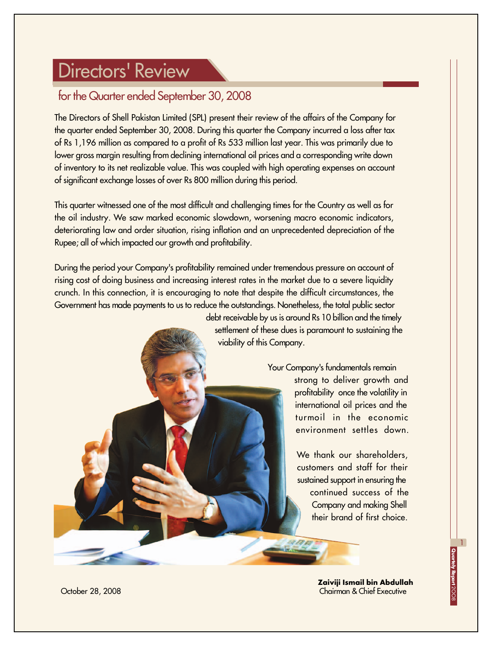## Directors' Review

### for the Quarter ended September 30, 2008

The Directors of Shell Pakistan Limited (SPL) present their review of the affairs of the Company for the quarter ended September 30, 2008. During this quarter the Company incurred a loss after tax of Rs 1,196 million as compared to a profit of Rs 533 million last year. This was primarily due to lower gross margin resulting from declining international oil prices and a corresponding write down of inventory to its net realizable value. This was coupled with high operating expenses on account of significant exchange losses of over Rs 800 million during this period.

This quarter witnessed one of the most difficult and challenging times for the Country as well as for the oil industry. We saw marked economic slowdown, worsening macro economic indicators, deteriorating law and order situation, rising inflation and an unprecedented depreciation of the Rupee; all of which impacted our growth and profitability.

During the period your Company's profitability remained under tremendous pressure on account of rising cost of doing business and increasing interest rates in the market due to a severe liquidity crunch. In this connection, it is encouraging to note that despite the difficult circumstances, the Government has made payments to us to reduce the outstandings. Nonetheless, the total public sector

> debt receivable by us is around Rs 10 billion and the timely settlement of these dues is paramount to sustaining the viability of this Company.

> > Your Company's fundamentals remain strong to deliver growth and profitability once the volatility in international oil prices and the turmoil in the economic environment settles down.

> > > We thank our shareholders, customers and staff for their sustained support in ensuring the continued success of the Company and making Shell their brand of first choice.

> > > > **Zaiviji Ismail bin Abdullah** Chairman & Chief Executive

1

October 28, 2008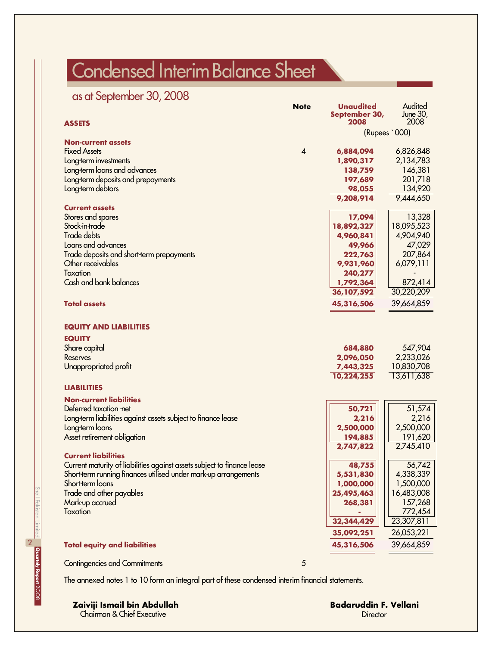# Condensed Interim Balance Sheet

## as at September 30, 2008

| <b>ASSETS</b>                                                           | <b>Note</b>             | <b>Unaudited</b><br>September 30,<br>2008 | Audited<br>June 30,<br>2008 |  |
|-------------------------------------------------------------------------|-------------------------|-------------------------------------------|-----------------------------|--|
|                                                                         |                         | (Rupees `000)                             |                             |  |
| <b>Non-current assets</b>                                               |                         |                                           |                             |  |
| <b>Fixed Assets</b>                                                     | $\overline{\mathbf{4}}$ | 6,884,094                                 | 6,826,848                   |  |
| Long term investments                                                   |                         | 1,890,317                                 | 2,134,783                   |  |
| Long-term loans and advances                                            |                         | 138,759                                   | 146,381                     |  |
| Long-term deposits and prepayments                                      |                         | 197,689                                   | 201,718                     |  |
| Long-term debtors                                                       |                         | 98,055                                    | 134,920                     |  |
|                                                                         |                         | 9,208,914                                 | 9,444,650                   |  |
| <b>Current assets</b><br>Stores and spares                              |                         | 17,094                                    | 13,328                      |  |
| Stock-in-trade                                                          |                         | 18,892,327                                | 18,095,523                  |  |
| Trade debts                                                             |                         | 4,960,841                                 | 4,904,940                   |  |
| Loans and advances                                                      |                         | 49,966                                    | 47,029                      |  |
| Trade deposits and short-term prepayments                               |                         | 222,763                                   | 207,864                     |  |
| Other receivables                                                       |                         | 9,931,960                                 | 6,079,111                   |  |
| Taxation                                                                |                         | 240,277                                   |                             |  |
| Cash and bank balances                                                  |                         | 1,792,364                                 | 872,414                     |  |
|                                                                         |                         | 36,107,592                                | 30,220,209                  |  |
| <b>Total assets</b>                                                     |                         | 45,316,506                                | 39,664,859                  |  |
| <b>EQUITY AND LIABILITIES</b>                                           |                         |                                           |                             |  |
| <b>EQUITY</b>                                                           |                         |                                           |                             |  |
| Share capital                                                           |                         | 684,880                                   | 547,904                     |  |
| Reserves                                                                |                         | 2,096,050                                 | 2,233,026                   |  |
| Unappropriated profit                                                   |                         | 7,443,325                                 | 10,830,708                  |  |
|                                                                         |                         | 10,224,255                                | 13,611,638                  |  |
| <b>LIABILITIES</b>                                                      |                         |                                           |                             |  |
| <b>Non-current liabilities</b>                                          |                         |                                           |                             |  |
| Deferred taxation net                                                   |                         | 50,721                                    | 51,574                      |  |
| Long term liabilities against assets subject to finance lease           |                         | 2,216                                     | 2,216                       |  |
| Long-term loans                                                         |                         | 2,500,000                                 | 2,500,000                   |  |
| Asset retirement obligation                                             |                         | 194,885                                   | 191,620                     |  |
| <b>Current liabilities</b>                                              |                         | 2,747,822                                 | 2,745,410                   |  |
| Current maturity of liabilities against assets subject to finance lease |                         | 48,755                                    | 56,742                      |  |
| Short-term running finances utilised under mark-up arrangements         |                         | 5,531,830                                 | 4,338,339                   |  |
| Short-term loans                                                        |                         | 1,000,000                                 | 1,500,000                   |  |
| Trade and other payables                                                |                         | 25,495,463                                | 16,483,008                  |  |
| Mark-up accrued                                                         |                         | 268,381                                   | 157,268                     |  |
| Taxation                                                                |                         |                                           | 772,454                     |  |
|                                                                         |                         | 32,344,429                                | 23,307,811                  |  |
|                                                                         |                         | 35,092,251                                | 26,053,221                  |  |
| <b>Total equity and liabilities</b>                                     |                         | 45,316,506                                | 39,664,859                  |  |
| <b>Contingencies and Commitments</b>                                    | $\overline{5}$          |                                           |                             |  |

The annexed notes 1 to 10 form an integral part of these condensed interim financial statements.

#### **Zaiviji Ismail bin Abdullah**

Chairman & Chief Executive

**Badaruddin F. Vellani Director**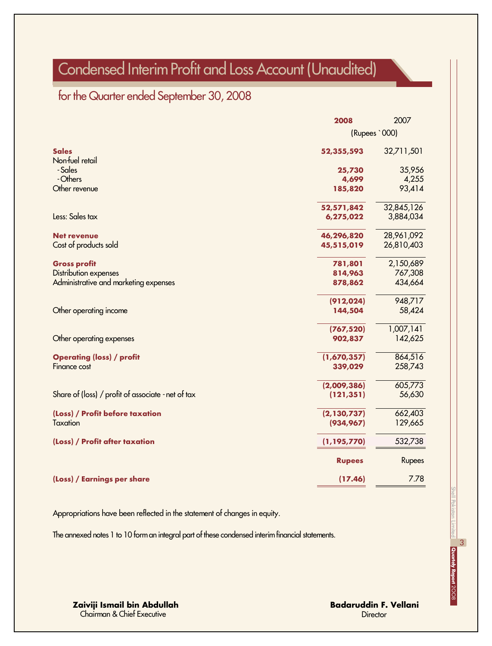## Condensed Interim Profit and Loss Account (Unaudited)

## for the Quarter ended September 30, 2008

|                                                    | 2008          | 2007          |
|----------------------------------------------------|---------------|---------------|
|                                                    |               | (Rupees `000) |
| <b>Sales</b>                                       | 52,355,593    | 32,711,501    |
| Non-fuel retail                                    |               |               |
| - Sales                                            | 25,730        | 35,956        |
| - Others                                           | 4,699         | 4,255         |
| Other revenue                                      | 185,820       | 93,414        |
|                                                    | 52,571,842    | 32,845,126    |
| Less: Sales tax                                    | 6,275,022     | 3,884,034     |
| <b>Net revenue</b>                                 | 46,296,820    | 28,961,092    |
| Cost of products sold                              | 45,515,019    | 26,810,403    |
| <b>Gross profit</b>                                | 781,801       | 2,150,689     |
| <b>Distribution expenses</b>                       | 814,963       | 767,308       |
| Administrative and marketing expenses              | 878,862       | 434,664       |
|                                                    | (912, 024)    | 948,717       |
| Other operating income                             | 144,504       | 58,424        |
|                                                    | (767, 520)    | 1,007,141     |
| Other operating expenses                           | 902,837       | 142,625       |
| <b>Operating (loss) / profit</b>                   | (1,670,357)   | 864,516       |
| Finance cost                                       | 339,029       | 258,743       |
|                                                    | (2,009,386)   | 605,773       |
| Share of (loss) / profit of associate - net of tax | (121, 351)    | 56,630        |
| (Loss) / Profit before taxation                    | (2, 130, 737) | 662,403       |
| <b>Taxation</b>                                    | (934, 967)    | 129,665       |
|                                                    |               |               |
| (Loss) / Profit after taxation                     | (1, 195, 770) | 532,738       |
|                                                    | <b>Rupees</b> | Rupees        |
| (Loss) / Earnings per share                        | (17.46)       | 7.78          |

Appropriations have been reflected in the statement of changes in equity.

The annexed notes 1 to 10 form an integral part of these condensed interim financial statements.

**Zaiviji Ismail bin Abdullah** Chairman & Chief Executive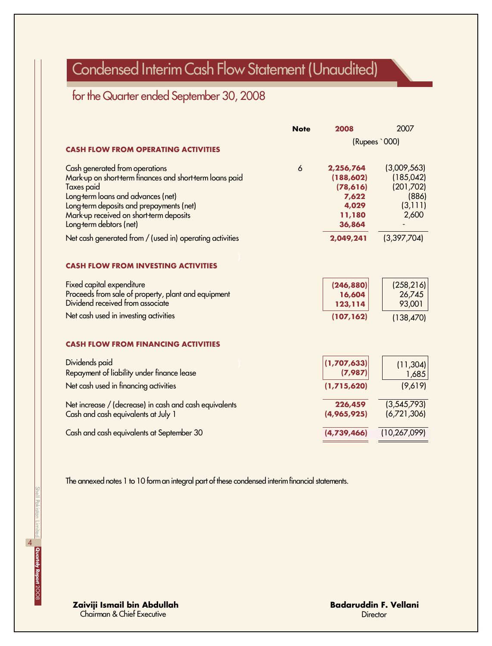## Condensed Interim Cash Flow Statement (Unaudited)

## for the Quarter ended September 30, 2008

| (Rupees `000)                                                        |
|----------------------------------------------------------------------|
| (3,009,563)<br>(185, 042)<br>(201,702)<br>(886)<br>(3, 111)<br>2,600 |
| (3,397,704)                                                          |
| (258, 216)<br>26,745<br>93,001<br>(138, 470)                         |
|                                                                      |
| (11, 304)<br>1,685                                                   |
| (9,619)                                                              |
| (3,545,793)<br>(6,721,306)                                           |
| (10, 267, 099)                                                       |
|                                                                      |

The annexed notes 1 to 10 form an integral part of these condensed interim financial statements.

**Zaiviji Ismail bin Abdullah** Chairman & Chief Executive

**Badaruddin F. Vellani Director**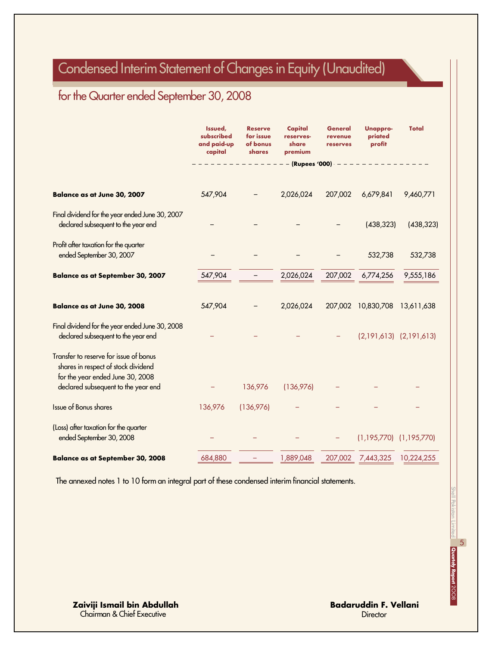## Condensed Interim Statement of Changes in Equity (Unaudited)

## for the Quarter ended September 30, 2008

|                                                                                                                                                          | Issued,<br>subscribed<br>and paid-up<br>capital | <b>Reserve</b><br>for issue<br>of bonus<br>shares | Capital<br>reserves-<br>share<br>premium | General<br>revenue<br>reserves | <b>Unappro-</b><br>priated<br>profit | <b>Total</b> |
|----------------------------------------------------------------------------------------------------------------------------------------------------------|-------------------------------------------------|---------------------------------------------------|------------------------------------------|--------------------------------|--------------------------------------|--------------|
|                                                                                                                                                          |                                                 |                                                   |                                          | $-$ (Rupees '000) $- -$        |                                      |              |
| Balance as at June 30, 2007                                                                                                                              | 547,904                                         |                                                   | 2,026,024                                | 207,002                        | 6,679,841                            | 9,460,771    |
| Final dividend for the year ended June 30, 2007<br>declared subsequent to the year end                                                                   |                                                 |                                                   |                                          |                                | (438, 323)                           | (438, 323)   |
| Profit after taxation for the quarter<br>ended September 30, 2007                                                                                        |                                                 |                                                   |                                          |                                | 532,738                              | 532,738      |
| <b>Balance as at September 30, 2007</b>                                                                                                                  | 547,904                                         |                                                   | 2,026,024                                | 207,002                        | 6,774,256                            | 9,555,186    |
| Balance as at June 30, 2008                                                                                                                              | 547,904                                         |                                                   | 2,026,024                                |                                | 207,002 10,830,708                   | 13,611,638   |
| Final dividend for the year ended June 30, 2008<br>declared subsequent to the year end                                                                   |                                                 |                                                   |                                          |                                | $(2,191,613)$ $(2,191,613)$          |              |
| Transfer to reserve for issue of bonus<br>shares in respect of stock dividend<br>for the year ended June 30, 2008<br>declared subsequent to the year end |                                                 | 136,976                                           | (136,976)                                |                                |                                      |              |
| Issue of Bonus shares                                                                                                                                    | 136,976                                         | (136,976)                                         |                                          |                                |                                      |              |
| (Loss) after taxation for the quarter<br>ended September 30, 2008                                                                                        |                                                 |                                                   |                                          |                                | $(1,195,770)$ $(1,195,770)$          |              |
| <b>Balance as at September 30, 2008</b>                                                                                                                  | 684,880                                         |                                                   | 1,889,048                                | 207,002                        | 7,443,325                            | 10,224,255   |

The annexed notes 1 to 10 form an integral part of these condensed interim financial statements.

**Zaiviji Ismail bin Abdullah** Chairman & Chief Executive

**Badaruddin F. Vellani Director**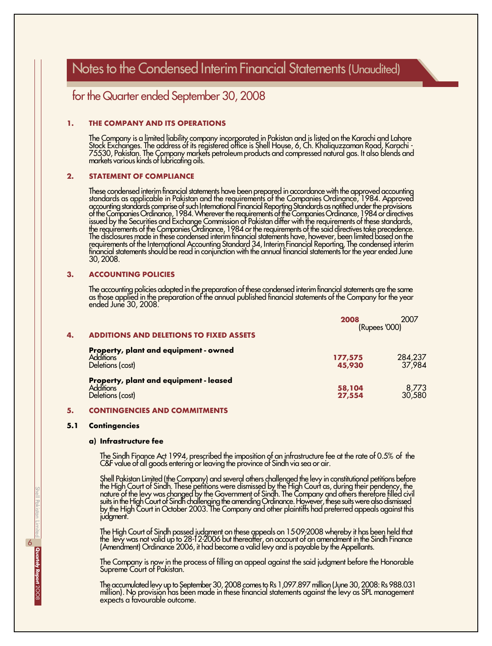## Notes to the Condensed Interim Financial Statements (Unaudited)

### for the Quarter ended September 30, 2008

#### **1. THE COMPANY AND ITS OPERATIONS**

The Company is a limited liability company incorporated in Pakistan and is listed on the Karachi and Lahore Stock Exchanges. The address of its registered office is Shell House, 6, Ch. Khaliquzzaman Road, Karachi - 75530, Pakistan. The Company markets petroleum products and compressed natural gas. It also blends and markets various kinds of lubricating oils.

#### **2. STATEMENT OF COMPLIANCE**

These condensed interim financial statements have been prepared in accordance with the approved accounting standards as applicable in Pakistan and the requirements of the Companies Ordinance, 1984. Approved accounting standards comprise of such International Financial Reporting Standards as notified under the provisions of the Companies Ordinance, 1984. Wherever the requirements of the Companies Ordinance, 1984 or directives issued by the Securities and Exchange Commission of Pakistan differ with the requirements of these standards, the requirements of the Companies Ordinance, 1984 or the requirements of the said directives take precedence. The disclosures made in these condensed interim financial statements have, however, been limited based on the requirements of the International Accounting Standard 34, Interim Financial Reporting. The condensed interim financial statements should be read in conjunction with the annual financial statements for the year ended June 30, 2008.

#### **3. ACCOUNTING POLICIES**

The accounting policies adopted in the preparation of these condensed interim financial statements are the same as those applied in the preparation of the annual published financial statements of the Company for the year ended June 30, 2008.

| 4. | <b>ADDITIONS AND DELETIONS TO FIXED ASSETS</b>                                 | 2007<br>2008<br>(Rupees '000) |                   |
|----|--------------------------------------------------------------------------------|-------------------------------|-------------------|
|    | Property, plant and equipment - owned<br><b>Additions</b><br>Deletions (cost)  | 177,575<br>45,930             | 284,237<br>37,984 |
|    | Property, plant and equipment - leased<br><b>Additions</b><br>Deletions (cost) | 58,104<br>27,554              | 8,773<br>30,580   |

#### **5. CONTINGENCIES AND COMMITMENTS**

#### **5.1 Contingencies**

#### **a) Infrastructure fee**

The Sindh Finance Act 1994, prescribed the imposition of an infrastructure fee at the rate of 0.5% of the C&F value of all goods entering or leaving the province of Sindh via sea or air.

Shell Pakistan Limited (the Company) and several others challenged the levy in constitutional petitions before the High Court of Sindh. These petitions were dismissed by the High Court as, during their pendency, the nature of the levy was changed by the Government of Sindh. The Company and others therefore filled civil suits in the High Court of Sindh challenging the amending Ordinance. However, these suits were also dismissed by the High Court in October 2003. The Company and other plaintiffs had preferred appeals against this judgment.

The High Court of Sindh passed judgment on these appeals on 15-09-2008 whereby it has been held that the levy was not valid up to 28-12-2006 but thereafter, on account of an amendment in the Sindh Finance (Amendment) Ordinance 2006, it had become a valid levy and is payable by the Appellants.

The Company is now in the process of filling an appeal against the said judgment before the Honorable Supreme Court of Pakistan.

The accumulated levy up to September 30, 2008 comes to Rs 1,097.897 million (June 30, 2008: Rs 988.031 million). No provision has been made in these financial statements against the levy as SPL management expects a favourable outcome.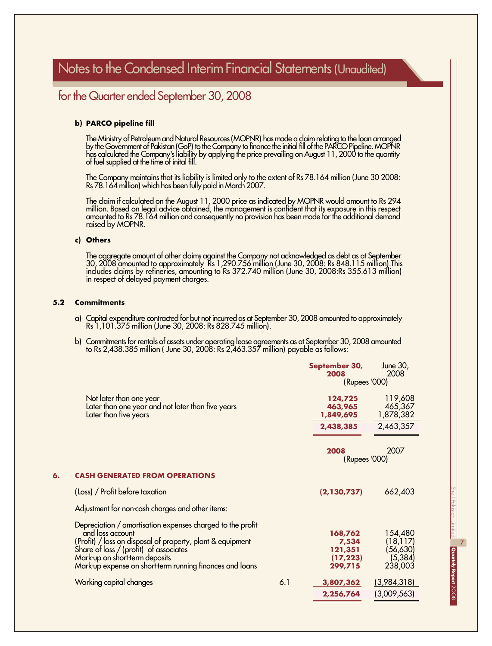### for the Quarter ended September 30, 2008

#### **b) PARCO pipeline fill**

The Ministry of Petroleum and Natural Resources (MOPNR) has made a claim relating to the loan arranged by the Government of Pakistan (GoP) to the Company to finance the initial fill of the PARCO Pipeline. MOPNR has calculated the Company's liability by applying the price prevailing on August 11, 2000 to the quantity of fuel supplied at the time of inital fill.

The Company maintains that its liability is limited only to the extent of Rs 78.164 million (June 30 2008: Rs 78.164 million) which has been fully paid in March 2007.

The claim if calculated on the August 11, 2000 price as indicated by MOPNR would amount to Rs 294 million. Based on legal advice obtained, the management is confident that its exposure in this respect amounted to Rs 78.164 million and consequently no provision has been made for the additional demand raised by MOPNR.

#### **c) Others**

The aggregate amount of other claims against the Company not acknowledged as debt as at September 30, 2008 amounted to approximately Rs 1,290.756 million (June 30, 2008: Rs 848.115 million).This includes claims by refineries, amounting to Rs 372.740 million (June 30, 2008:Rs 355.613 million) in respect of delayed payment charges.

#### **5.2 Commitments**

- a) Capital expenditure contracted for but not incurred as at September 30, 2008 amounted to approximately Rs 1,101.375 million (June 30, 2008: Rs 828.745 million).
- b) Commitments for rentals of assets under operating lease agreements as at September 30, 2008 amounted to Rs 2,438.385 million ( June 30, 2008: Rs 2,463.357 million) payable as follows:

|    |                                                                                                                                                                                                                                                                                      |     | September 30,<br>2008                               | June 30,<br>2008                                         |  |  |
|----|--------------------------------------------------------------------------------------------------------------------------------------------------------------------------------------------------------------------------------------------------------------------------------------|-----|-----------------------------------------------------|----------------------------------------------------------|--|--|
|    |                                                                                                                                                                                                                                                                                      |     |                                                     | (Rupees '000)                                            |  |  |
|    | Not later than one year<br>Later than one year and not later than five years<br>Later than five years                                                                                                                                                                                |     | 124,725<br>463,965<br>1,849,695                     | 119,608<br>465,367<br>1,878,382                          |  |  |
|    |                                                                                                                                                                                                                                                                                      |     | 2,438,385                                           | 2,463,357                                                |  |  |
|    |                                                                                                                                                                                                                                                                                      |     | 2008<br>(Rupees '000)                               | 2007                                                     |  |  |
| 6. | <b>CASH GENERATED FROM OPERATIONS</b>                                                                                                                                                                                                                                                |     |                                                     |                                                          |  |  |
|    | (Loss) / Profit before taxation                                                                                                                                                                                                                                                      |     | (2,130,737)                                         | 662,403                                                  |  |  |
|    | Adjustment for non-cash charges and other items:                                                                                                                                                                                                                                     |     |                                                     |                                                          |  |  |
|    | Depreciation / amortisation expenses charged to the profit<br>and loss account<br>(Profit) / loss on disposal of property, plant & equipment<br>Share of loss / (profit) of associates<br>Mark-up on short-term deposits<br>Mark up expense on short term running finances and loans |     | 168,762<br>7,534<br>121,351<br>(17, 223)<br>299,715 | 154,480<br>(18, 117)<br>(56, 630)<br>(5, 384)<br>238,003 |  |  |
|    | Working capital changes                                                                                                                                                                                                                                                              | 6.1 | 3,807,362                                           | (3,984,318)                                              |  |  |
|    |                                                                                                                                                                                                                                                                                      |     | 2,256,764                                           | (3,009,563)                                              |  |  |